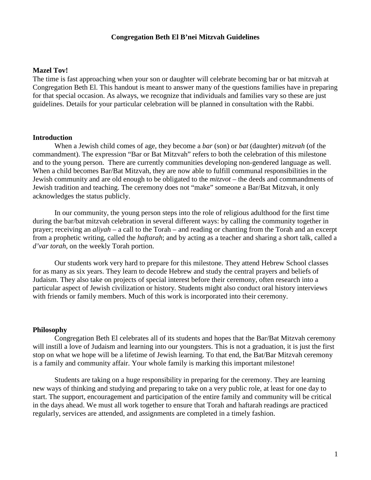#### **Congregation Beth El B'nei Mitzvah Guidelines**

#### **Mazel Tov!**

The time is fast approaching when your son or daughter will celebrate becoming bar or bat mitzvah at Congregation Beth El. This handout is meant to answer many of the questions families have in preparing for that special occasion. As always, we recognize that individuals and families vary so these are just guidelines. Details for your particular celebration will be planned in consultation with the Rabbi.

#### **Introduction**

When a Jewish child comes of age, they become a *bar* (son) or *bat* (daughter) *mitzvah* (of the commandment). The expression "Bar or Bat Mitzvah" refers to both the celebration of this milestone and to the young person. There are currently communities developing non-gendered language as well. When a child becomes Bar/Bat Mitzvah, they are now able to fulfill communal responsibilities in the Jewish community and are old enough to be obligated to the *mitzvot* – the deeds and commandments of Jewish tradition and teaching. The ceremony does not "make" someone a Bar/Bat Mitzvah, it only acknowledges the status publicly.

In our community, the young person steps into the role of religious adulthood for the first time during the bar/bat mitzvah celebration in several different ways: by calling the community together in prayer; receiving an *aliyah –* a call to the Torah – and reading or chanting from the Torah and an excerpt from a prophetic writing, called the *haftarah*; and by acting as a teacher and sharing a short talk, called a *d'var torah*, on the weekly Torah portion.

Our students work very hard to prepare for this milestone. They attend Hebrew School classes for as many as six years. They learn to decode Hebrew and study the central prayers and beliefs of Judaism. They also take on projects of special interest before their ceremony, often research into a particular aspect of Jewish civilization or history. Students might also conduct oral history interviews with friends or family members. Much of this work is incorporated into their ceremony.

#### **Philosophy**

Congregation Beth El celebrates all of its students and hopes that the Bar/Bat Mitzvah ceremony will instill a love of Judaism and learning into our youngsters. This is not a graduation, it is just the first stop on what we hope will be a lifetime of Jewish learning. To that end, the Bat/Bar Mitzvah ceremony is a family and community affair. Your whole family is marking this important milestone!

Students are taking on a huge responsibility in preparing for the ceremony. They are learning new ways of thinking and studying and preparing to take on a very public role, at least for one day to start. The support, encouragement and participation of the entire family and community will be critical in the days ahead. We must all work together to ensure that Torah and haftarah readings are practiced regularly, services are attended, and assignments are completed in a timely fashion.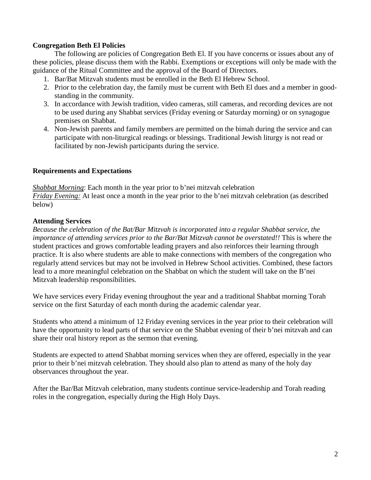## **Congregation Beth El Policies**

The following are policies of Congregation Beth El. If you have concerns or issues about any of these policies, please discuss them with the Rabbi. Exemptions or exceptions will only be made with the guidance of the Ritual Committee and the approval of the Board of Directors.

- 1. Bar/Bat Mitzvah students must be enrolled in the Beth El Hebrew School.
- 2. Prior to the celebration day, the family must be current with Beth El dues and a member in goodstanding in the community.
- 3. In accordance with Jewish tradition, video cameras, still cameras, and recording devices are not to be used during any Shabbat services (Friday evening or Saturday morning) or on synagogue premises on Shabbat.
- 4. Non-Jewish parents and family members are permitted on the bimah during the service and can participate with non-liturgical readings or blessings. Traditional Jewish liturgy is not read or facilitated by non-Jewish participants during the service.

## **Requirements and Expectations**

*Shabbat Morning*: Each month in the year prior to b'nei mitzvah celebration *Friday Evening:* At least once a month in the year prior to the b'nei mitzvah celebration (as described below)

## **Attending Services**

*Because the celebration of the Bat/Bar Mitzvah is incorporated into a regular Shabbat service, the importance of attending services prior to the Bar/Bat Mitzvah cannot be overstated!!* This is where the student practices and grows comfortable leading prayers and also reinforces their learning through practice. It is also where students are able to make connections with members of the congregation who regularly attend services but may not be involved in Hebrew School activities. Combined, these factors lead to a more meaningful celebration on the Shabbat on which the student will take on the B'nei Mitzvah leadership responsibilities.

We have services every Friday evening throughout the year and a traditional Shabbat morning Torah service on the first Saturday of each month during the academic calendar year.

Students who attend a minimum of 12 Friday evening services in the year prior to their celebration will have the opportunity to lead parts of that service on the Shabbat evening of their b'nei mitzvah and can share their oral history report as the sermon that evening.

Students are expected to attend Shabbat morning services when they are offered, especially in the year prior to their b'nei mitzvah celebration. They should also plan to attend as many of the holy day observances throughout the year.

After the Bar/Bat Mitzvah celebration, many students continue service-leadership and Torah reading roles in the congregation, especially during the High Holy Days.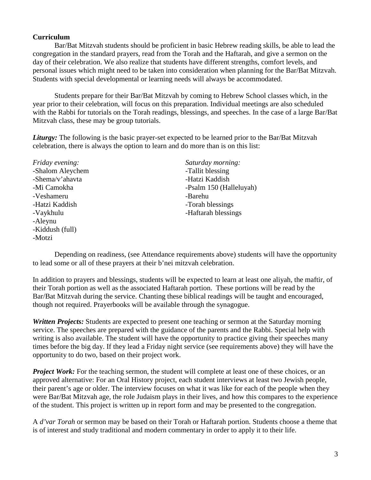## **Curriculum**

Bar/Bat Mitzvah students should be proficient in basic Hebrew reading skills, be able to lead the congregation in the standard prayers, read from the Torah and the Haftarah, and give a sermon on the day of their celebration. We also realize that students have different strengths, comfort levels, and personal issues which might need to be taken into consideration when planning for the Bar/Bat Mitzvah. Students with special developmental or learning needs will always be accommodated.

Students prepare for their Bar/Bat Mitzvah by coming to Hebrew School classes which, in the year prior to their celebration, will focus on this preparation. Individual meetings are also scheduled with the Rabbi for tutorials on the Torah readings, blessings, and speeches. In the case of a large Bar/Bat Mitzvah class, these may be group tutorials.

*Liturgy:* The following is the basic prayer-set expected to be learned prior to the Bar/Bat Mitzvah celebration, there is always the option to learn and do more than is on this list:

-Shalom Aleychem -Tallit blessing -Shema/v'ahavta -Hatzi Kaddish -Veshameru -Barehu -Hatzi Kaddish -Torah blessings -Aleynu -Kiddush (full) -Motzi

*Friday evening: Saturday morning:* -Mi Camokha -Psalm 150 (Halleluyah) -Vaykhulu - Haftarah blessings

Depending on readiness, (see Attendance requirements above) students will have the opportunity to lead some or all of these prayers at their b'nei mitzvah celebration.

In addition to prayers and blessings, students will be expected to learn at least one aliyah, the maftir, of their Torah portion as well as the associated Haftarah portion. These portions will be read by the Bar/Bat Mitzvah during the service. Chanting these biblical readings will be taught and encouraged, though not required. Prayerbooks will be available through the synagogue.

*Written Projects:* Students are expected to present one teaching or sermon at the Saturday morning service. The speeches are prepared with the guidance of the parents and the Rabbi. Special help with writing is also available. The student will have the opportunity to practice giving their speeches many times before the big day. If they lead a Friday night service (see requirements above) they will have the opportunity to do two, based on their project work.

*Project Work:* For the teaching sermon, the student will complete at least one of these choices, or an approved alternative: For an Oral History project, each student interviews at least two Jewish people, their parent's age or older. The interview focuses on what it was like for each of the people when they were Bar/Bat Mitzvah age, the role Judaism plays in their lives, and how this compares to the experience of the student. This project is written up in report form and may be presented to the congregation.

A *d'var Torah* or sermon may be based on their Torah or Haftarah portion. Students choose a theme that is of interest and study traditional and modern commentary in order to apply it to their life.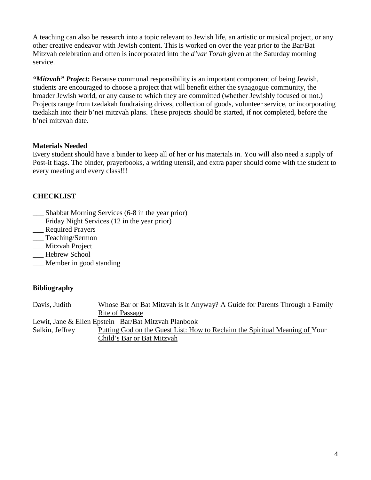A teaching can also be research into a topic relevant to Jewish life, an artistic or musical project, or any other creative endeavor with Jewish content. This is worked on over the year prior to the Bar/Bat Mitzvah celebration and often is incorporated into the *d'var Torah* given at the Saturday morning service.

*"Mitzvah" Project:* Because communal responsibility is an important component of being Jewish, students are encouraged to choose a project that will benefit either the synagogue community, the broader Jewish world, or any cause to which they are committed (whether Jewishly focused or not.) Projects range from tzedakah fundraising drives, collection of goods, volunteer service, or incorporating tzedakah into their b'nei mitzvah plans. These projects should be started, if not completed, before the b'nei mitzvah date.

## **Materials Needed**

Every student should have a binder to keep all of her or his materials in. You will also need a supply of Post-it flags. The binder, prayerbooks, a writing utensil, and extra paper should come with the student to every meeting and every class!!!

# **CHECKLIST**

- \_\_\_ Shabbat Morning Services (6-8 in the year prior)
- \_\_\_ Friday Night Services (12 in the year prior)
- \_\_\_ Required Prayers
- \_\_\_ Teaching/Sermon
- \_\_\_ Mitzvah Project
- \_\_\_ Hebrew School
- \_\_\_ Member in good standing

## **Bibliography**

| Davis, Judith   | Whose Bar or Bat Mitzvah is it Anyway? A Guide for Parents Through a Family |
|-----------------|-----------------------------------------------------------------------------|
|                 | Rite of Passage                                                             |
|                 | Lewit, Jane & Ellen Epstein Bar/Bat Mitzvah Planbook                        |
| Salkin, Jeffrey | Putting God on the Guest List: How to Reclaim the Spiritual Meaning of Your |
|                 | Child's Bar or Bat Mitzvah                                                  |